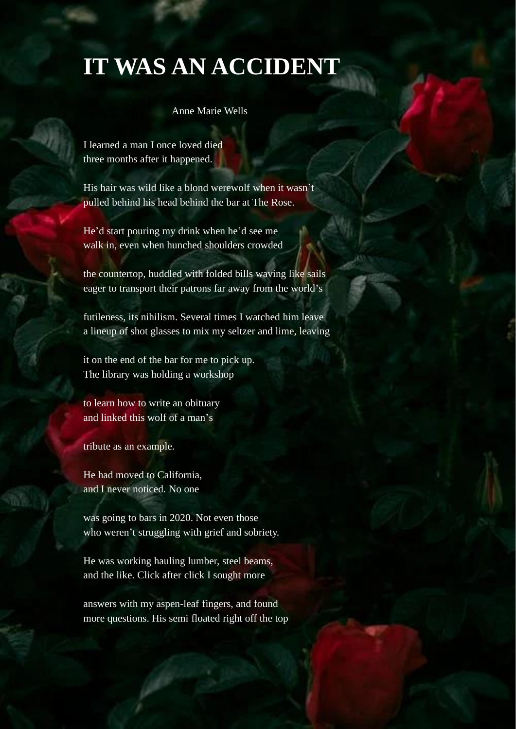## **IT WAS AN ACCIDENT**

## Anne Marie Wells

I learned a man I once loved died three months after it happened.

His hair was wild like a blond werewolf when it wasn't pulled behind his head behind the bar at The Rose.

He'd start pouring my drink when he'd see me walk in, even when hunched shoulders crowded

the countertop, huddled with folded bills waving like sails eager to transport their patrons far away from the world's

futileness, its nihilism. Several times I watched him leave a lineup of shot glasses to mix my seltzer and lime, leaving

it on the end of the bar for me to pick up. The library was holding a workshop

to learn how to write an obituary and linked this wolf of a man's

tribute as an example.

He had moved to California, and I never noticed. No one

was going to bars in 2020. Not even those who weren't struggling with grief and sobriety.

He was working hauling lumber, steel beams, and the like. Click after click I sought more

answers with my aspen-leaf fingers, and found more questions. His semi floated right off the top